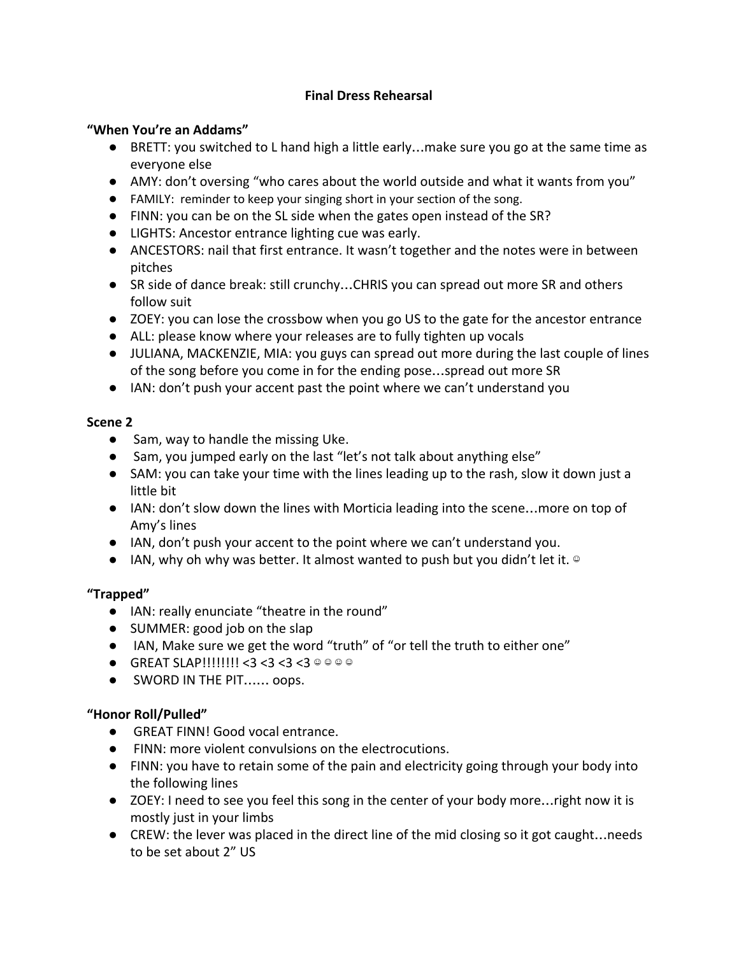# **Final Dress Rehearsal**

### **"When You're an Addams"**

- BRETT: you switched to L hand high a little early...make sure you go at the same time as everyone else
- AMY: don't oversing "who cares about the world outside and what it wants from you"
- FAMILY: reminder to keep your singing short in your section of the song.
- FINN: you can be on the SL side when the gates open instead of the SR?
- LIGHTS: Ancestor entrance lighting cue was early.
- ANCESTORS: nail that first entrance. It wasn't together and the notes were in between pitches
- SR side of dance break: still crunchy…CHRIS you can spread out more SR and others follow suit
- ZOEY: you can lose the crossbow when you go US to the gate for the ancestor entrance
- ALL: please know where your releases are to fully tighten up vocals
- JULIANA, MACKENZIE, MIA: you guys can spread out more during the last couple of lines of the song before you come in for the ending pose…spread out more SR
- IAN: don't push your accent past the point where we can't understand you

### **Scene 2**

- Sam, way to handle the missing Uke.
- Sam, you jumped early on the last "let's not talk about anything else"
- SAM: you can take your time with the lines leading up to the rash, slow it down just a little bit
- IAN: don't slow down the lines with Morticia leading into the scene…more on top of Amy's lines
- IAN, don't push your accent to the point where we can't understand you.
- $\bullet$  IAN, why oh why was better. It almost wanted to push but you didn't let it.  $\circ$

# **"Trapped"**

- IAN: really enunciate "theatre in the round"
- SUMMER: good job on the slap
- IAN, Make sure we get the word "truth" of "or tell the truth to either one"
- $\bullet$  GREAT SLAP!!!!!!!!! < 3 < 3 < 3 < 3 © © © ©
- SWORD IN THE PIT...... oops.

# **"Honor Roll/Pulled"**

- GREAT FINN! Good vocal entrance.
- FINN: more violent convulsions on the electrocutions.
- FINN: you have to retain some of the pain and electricity going through your body into the following lines
- ZOEY: I need to see you feel this song in the center of your body more... right now it is mostly just in your limbs
- CREW: the lever was placed in the direct line of the mid closing so it got caught…needs to be set about 2" US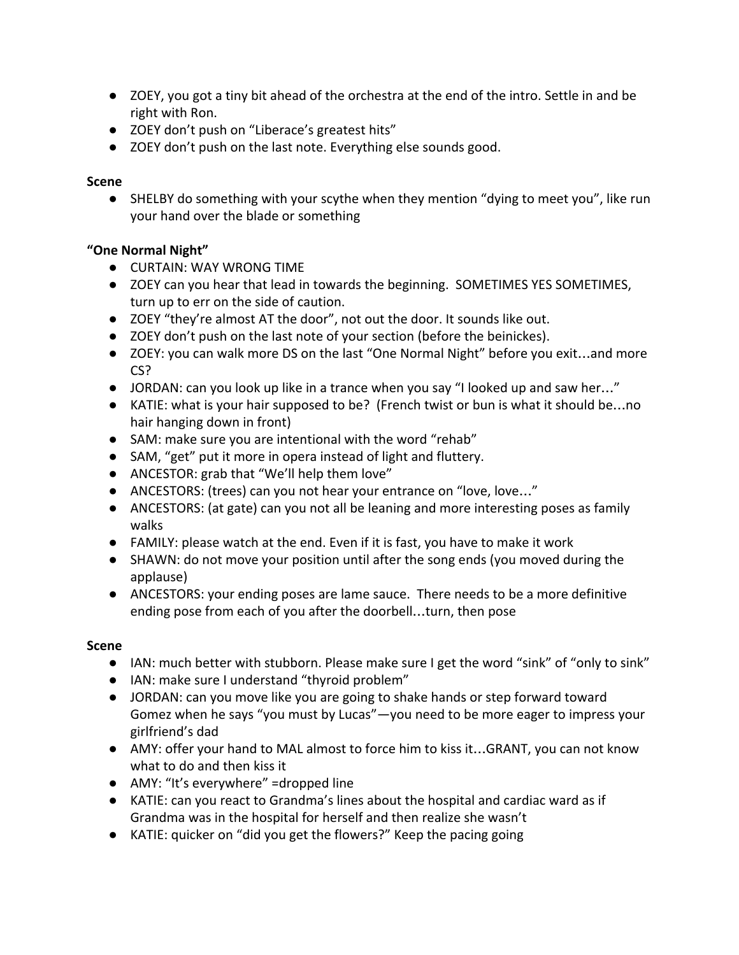- ZOEY, you got a tiny bit ahead of the orchestra at the end of the intro. Settle in and be right with Ron.
- ZOEY don't push on "Liberace's greatest hits"
- ZOEY don't push on the last note. Everything else sounds good.

### **Scene**

**●** SHELBY do something with your scythe when they mention "dying to meet you", like run your hand over the blade or something

# **"One Normal Night"**

- CURTAIN: WAY WRONG TIME
- ZOEY can you hear that lead in towards the beginning. SOMETIMES YES SOMETIMES, turn up to err on the side of caution.
- ZOEY "they're almost AT the door", not out the door. It sounds like out.
- ZOEY don't push on the last note of your section (before the beinickes).
- ZOEY: you can walk more DS on the last "One Normal Night" before you exit...and more CS?
- JORDAN: can you look up like in a trance when you say "I looked up and saw her..."
- KATIE: what is your hair supposed to be? (French twist or bun is what it should be...no hair hanging down in front)
- SAM: make sure you are intentional with the word "rehab"
- SAM, "get" put it more in opera instead of light and fluttery.
- ANCESTOR: grab that "We'll help them love"
- ANCESTORS: (trees) can you not hear your entrance on "love, love..."
- ANCESTORS: (at gate) can you not all be leaning and more interesting poses as family walks
- FAMILY: please watch at the end. Even if it is fast, you have to make it work
- SHAWN: do not move your position until after the song ends (you moved during the applause)
- ANCESTORS: your ending poses are lame sauce. There needs to be a more definitive ending pose from each of you after the doorbell…turn, then pose

# **Scene**

- IAN: much better with stubborn. Please make sure I get the word "sink" of "only to sink"
- IAN: make sure I understand "thyroid problem"
- JORDAN: can you move like you are going to shake hands or step forward toward Gomez when he says "you must by Lucas"—you need to be more eager to impress your girlfriend's dad
- AMY: offer your hand to MAL almost to force him to kiss it...GRANT, you can not know what to do and then kiss it
- AMY: "It's everywhere" =dropped line
- KATIE: can you react to Grandma's lines about the hospital and cardiac ward as if Grandma was in the hospital for herself and then realize she wasn't
- KATIE: quicker on "did you get the flowers?" Keep the pacing going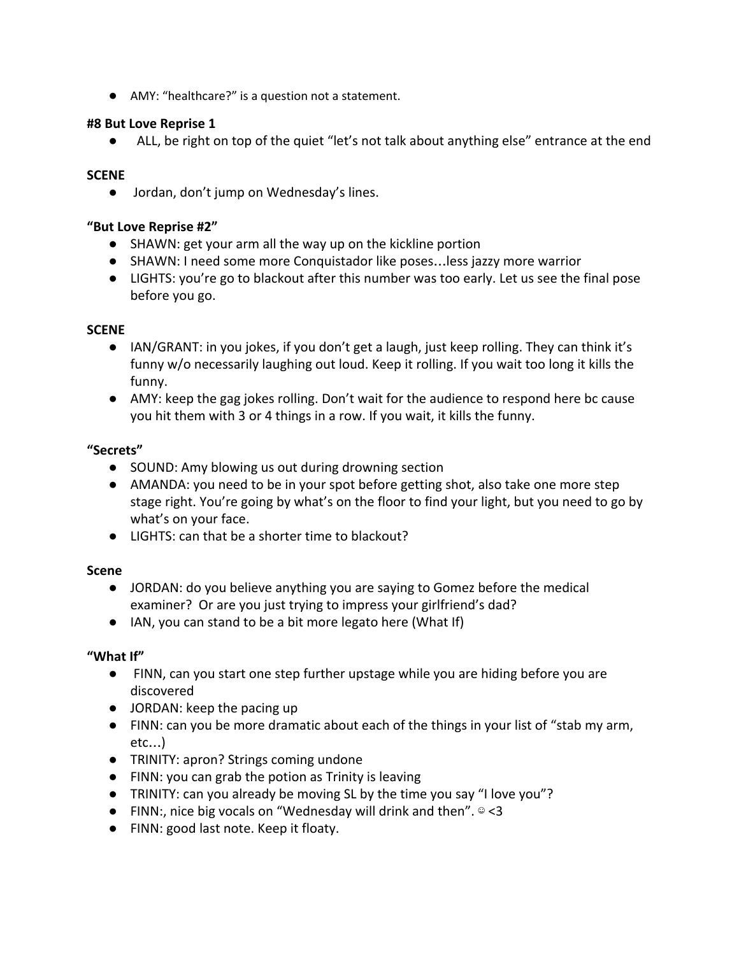● AMY: "healthcare?" is a question not a statement.

#### **#8 But Love Reprise 1**

● ALL, be right on top of the quiet "let's not talk about anything else" entrance at the end

### **SCENE**

● Jordan, don't jump on Wednesday's lines.

#### **"But Love Reprise #2"**

- SHAWN: get your arm all the way up on the kickline portion
- SHAWN: I need some more Conquistador like poses…less jazzy more warrior
- LIGHTS: you're go to blackout after this number was too early. Let us see the final pose before you go.

#### **SCENE**

- IAN/GRANT: in you jokes, if you don't get a laugh, just keep rolling. They can think it's funny w/o necessarily laughing out loud. Keep it rolling. If you wait too long it kills the funny.
- AMY: keep the gag jokes rolling. Don't wait for the audience to respond here bc cause you hit them with 3 or 4 things in a row. If you wait, it kills the funny.

### **"Secrets"**

- SOUND: Amy blowing us out during drowning section
- AMANDA: you need to be in your spot before getting shot, also take one more step stage right. You're going by what's on the floor to find your light, but you need to go by what's on your face.
- LIGHTS: can that be a shorter time to blackout?

# **Scene**

- JORDAN: do you believe anything you are saying to Gomez before the medical examiner? Or are you just trying to impress your girlfriend's dad?
- IAN, you can stand to be a bit more legato here (What If)

# **"What If"**

- FINN, can you start one step further upstage while you are hiding before you are discovered
- JORDAN: keep the pacing up
- FINN: can you be more dramatic about each of the things in your list of "stab my arm, etc…)
- TRINITY: apron? Strings coming undone
- FINN: you can grab the potion as Trinity is leaving
- TRINITY: can you already be moving SL by the time you say "I love you"?
- FINN:, nice big vocals on "Wednesday will drink and then".  $\circ$  <3
- FINN: good last note. Keep it floaty.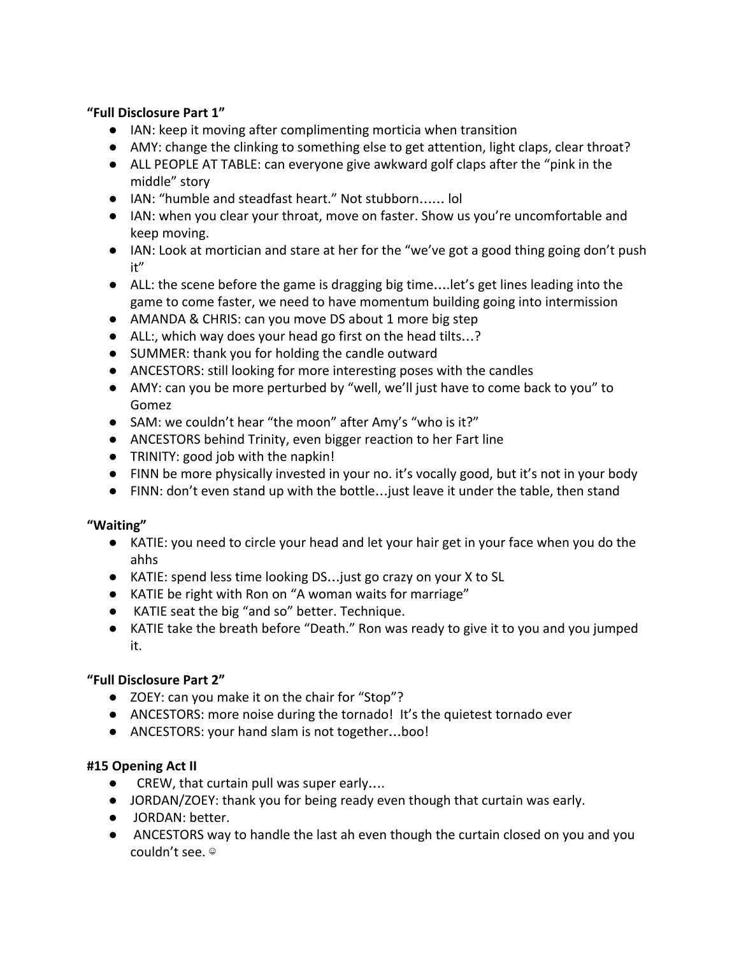# **"Full Disclosure Part 1"**

- IAN: keep it moving after complimenting morticia when transition
- AMY: change the clinking to something else to get attention, light claps, clear throat?
- ALL PEOPLE AT TABLE: can everyone give awkward golf claps after the "pink in the middle" story
- IAN: "humble and steadfast heart." Not stubborn…… lol
- IAN: when you clear your throat, move on faster. Show us you're uncomfortable and keep moving.
- IAN: Look at mortician and stare at her for the "we've got a good thing going don't push it"
- ALL: the scene before the game is dragging big time….let's get lines leading into the game to come faster, we need to have momentum building going into intermission
- AMANDA & CHRIS: can you move DS about 1 more big step
- ALL:, which way does your head go first on the head tilts…?
- SUMMER: thank you for holding the candle outward
- ANCESTORS: still looking for more interesting poses with the candles
- AMY: can you be more perturbed by "well, we'll just have to come back to you" to Gomez
- SAM: we couldn't hear "the moon" after Amy's "who is it?"
- ANCESTORS behind Trinity, even bigger reaction to her Fart line
- TRINITY: good job with the napkin!
- FINN be more physically invested in your no. it's vocally good, but it's not in your body
- FINN: don't even stand up with the bottle…just leave it under the table, then stand

# **"Waiting"**

- KATIE: you need to circle your head and let your hair get in your face when you do the ahhs
- KATIE: spend less time looking DS...just go crazy on your X to SL
- KATIE be right with Ron on "A woman waits for marriage"
- KATIE seat the big "and so" better. Technique.
- KATIE take the breath before "Death." Ron was ready to give it to you and you jumped it.

# **"Full Disclosure Part 2"**

- ZOEY: can you make it on the chair for "Stop"?
- ANCESTORS: more noise during the tornado! It's the quietest tornado ever
- ANCESTORS: your hand slam is not together...boo!

# **#15 Opening Act II**

- CREW, that curtain pull was super early....
- JORDAN/ZOEY: thank you for being ready even though that curtain was early.
- JORDAN: better.
- ANCESTORS way to handle the last ah even though the curtain closed on you and you couldn't see. ☺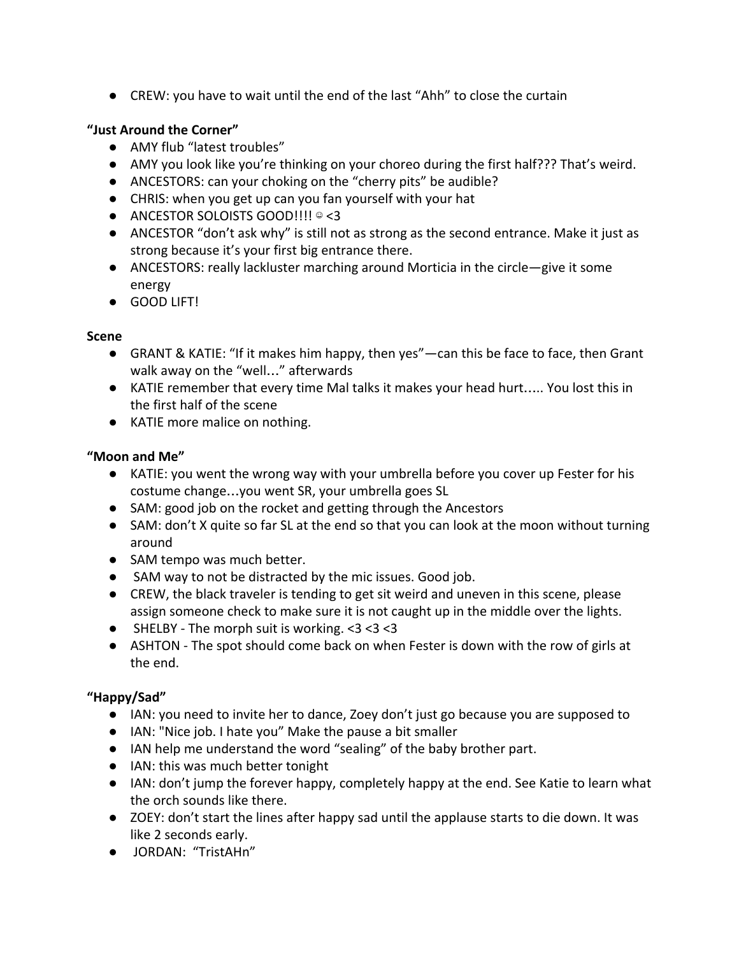● CREW: you have to wait until the end of the last "Ahh" to close the curtain

# **"Just Around the Corner"**

- AMY flub "latest troubles"
- AMY you look like you're thinking on your choreo during the first half??? That's weird.
- ANCESTORS: can your choking on the "cherry pits" be audible?
- CHRIS: when you get up can you fan yourself with your hat
- ANCESTOR SOLOISTS GOOD!!!! ☺ <3
- ANCESTOR "don't ask why" is still not as strong as the second entrance. Make it just as strong because it's your first big entrance there.
- ANCESTORS: really lackluster marching around Morticia in the circle—give it some energy
- GOOD LIFT!

# **Scene**

- GRANT & KATIE: "If it makes him happy, then yes"—can this be face to face, then Grant walk away on the "well…" afterwards
- KATIE remember that every time Mal talks it makes your head hurt….. You lost this in the first half of the scene
- KATIE more malice on nothing.

# **"Moon and Me"**

- KATIE: you went the wrong way with your umbrella before you cover up Fester for his costume change…you went SR, your umbrella goes SL
- SAM: good job on the rocket and getting through the Ancestors
- SAM: don't X quite so far SL at the end so that you can look at the moon without turning around
- SAM tempo was much better.
- SAM way to not be distracted by the mic issues. Good job.
- CREW, the black traveler is tending to get sit weird and uneven in this scene, please assign someone check to make sure it is not caught up in the middle over the lights.
- SHELBY The morph suit is working.  $<$ 3 $<$ 3 $<$ 3
- ASHTON The spot should come back on when Fester is down with the row of girls at the end.

# **"Happy/Sad"**

- IAN: you need to invite her to dance, Zoey don't just go because you are supposed to
- IAN: "Nice job. I hate you" Make the pause a bit smaller
- IAN help me understand the word "sealing" of the baby brother part.
- IAN: this was much better tonight
- IAN: don't jump the forever happy, completely happy at the end. See Katie to learn what the orch sounds like there.
- ZOEY: don't start the lines after happy sad until the applause starts to die down. It was like 2 seconds early.
- JORDAN: "TristAHn"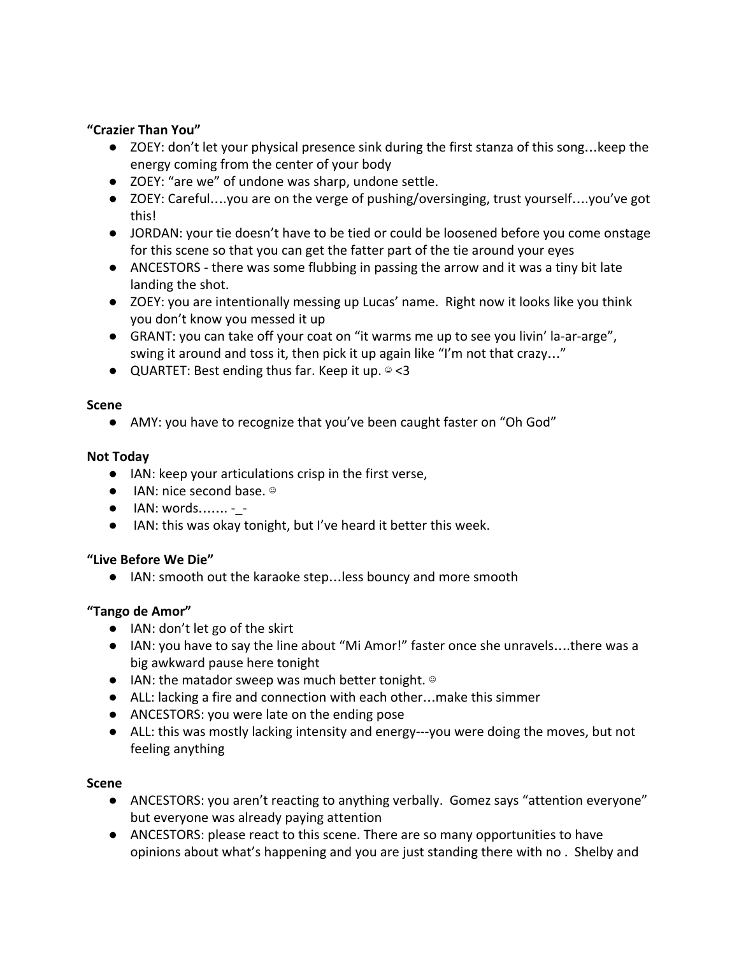### **"Crazier Than You"**

- ZOEY: don't let your physical presence sink during the first stanza of this song... keep the energy coming from the center of your body
- ZOEY: "are we" of undone was sharp, undone settle.
- ZOEY: Careful….you are on the verge of pushing/oversinging, trust yourself….you've got this!
- JORDAN: your tie doesn't have to be tied or could be loosened before you come onstage for this scene so that you can get the fatter part of the tie around your eyes
- ANCESTORS there was some flubbing in passing the arrow and it was a tiny bit late landing the shot.
- ZOEY: you are intentionally messing up Lucas' name. Right now it looks like you think you don't know you messed it up
- GRANT: you can take off your coat on "it warms me up to see you livin' la-ar-arge", swing it around and toss it, then pick it up again like "I'm not that crazy…"
- QUARTET: Best ending thus far. Keep it up. © <3

#### **Scene**

● AMY: you have to recognize that you've been caught faster on "Oh God"

### **Not Today**

- IAN: keep your articulations crisp in the first verse,
- IAN: nice second base. ◎
- IAN: words……. -\_ -
- IAN: this was okay tonight, but I've heard it better this week.

#### **"Live Before We Die"**

● IAN: smooth out the karaoke step…less bouncy and more smooth

# **"Tango de Amor"**

- IAN: don't let go of the skirt
- IAN: you have to say the line about "Mi Amor!" faster once she unravels....there was a big awkward pause here tonight
- IAN: the matador sweep was much better tonight. ◎
- ALL: lacking a fire and connection with each other...make this simmer
- ANCESTORS: you were late on the ending pose
- ALL: this was mostly lacking intensity and energy---you were doing the moves, but not feeling anything

#### **Scene**

- ANCESTORS: you aren't reacting to anything verbally. Gomez says "attention everyone" but everyone was already paying attention
- ANCESTORS: please react to this scene. There are so many opportunities to have opinions about what's happening and you are just standing there with no . Shelby and